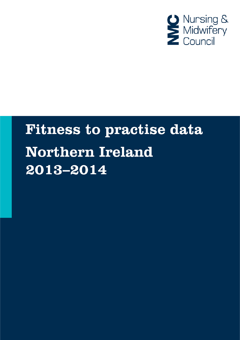

# **Fitness to practise data Northern Ireland** 2013-2014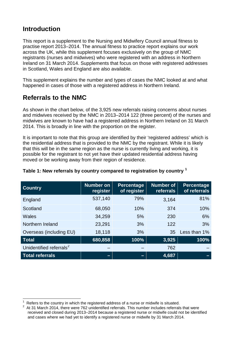## **Introduction**

This report is a supplement to the Nursing and Midwifery Council annual fitness to practise report 2013–2014. The annual fitness to practice report explains our work across the UK, while this supplement focuses exclusively on the group of NMC registrants (nurses and midwives) who were registered with an address in Northern Ireland on 31 March 2014. Supplements that focus on those with registered addresses in Scotland, Wales and England are also available.

This supplement explains the number and types of cases the NMC looked at and what happened in cases of those with a registered address in Northern Ireland.

# **Referrals to the NMC**

As shown in the chart below, of the 3,925 new referrals raising concerns about nurses and midwives received by the NMC in 2013–2014 122 (three percent) of the nurses and midwives are known to have had a registered address in Northern Ireland on 31 March 2014. This is broadly in line with the proportion on the register.

It is important to note that this group are identified by their 'registered address' which is the residential address that is provided to the NMC by the registrant. While it is likely that this will be in the same region as the nurse is currently living and working, it is possible for the registrant to not yet have their updated residential address having moved or be working away from their region of residence.

| <b>Country</b>                      | <b>Number on</b><br>register | <b>Percentage</b><br>of register | <b>Number of</b><br>referrals | <b>Percentage</b><br>of referrals |
|-------------------------------------|------------------------------|----------------------------------|-------------------------------|-----------------------------------|
| England                             | 537,140                      | 79%                              | 3,164                         | 81%                               |
| Scotland                            | 68,050                       | 10%                              | 374                           | 10%                               |
| Wales                               | 34,259                       | 5%                               | 230                           | 6%                                |
| Northern Ireland                    | 23,291                       | 3%                               | 122                           | 3%                                |
| Overseas (including EU)             | 18,118                       | 3%                               | 35                            | Less than 1%                      |
| <b>Total</b>                        | 680,858                      | 100%                             | 3,925                         | 100%                              |
| Unidentified referrals <sup>2</sup> |                              |                                  | 762                           |                                   |
| <b>Total referrals</b>              | -                            | -                                | 4,687                         |                                   |

## **Table 1: New referrals by country compared to registration by country [1](#page-1-0)**

<span id="page-1-0"></span> $\frac{1}{1}$ Refers to the country in which the registered address of a nurse or midwife is situated. <sup>2</sup>

<span id="page-1-1"></span>At 31 March 2014, there were 762 unidentified referrals. This number includes referrals that were received and closed during 2013–2014 because a registered nurse or midwife could not be identified and cases where we had yet to identify a registered nurse or midwife by 31 March 2014.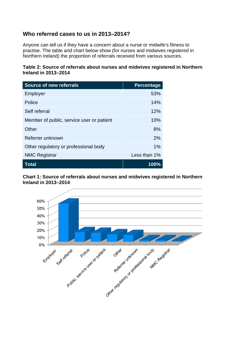## **Who referred cases to us in 2013–2014?**

Anyone can tell us if they have a concern about a nurse or midwife's fitness to practise. The table and chart below show (for nurses and midwives registered in Northern Ireland) the proportion of referrals received from various sources.

## **Table 2: Source of referrals about nurses and midwives registered in Northern Ireland in 2013–2014**

| <b>Source of new referrals</b>            | <b>Percentage</b> |
|-------------------------------------------|-------------------|
| Employer                                  | 53%               |
| Police                                    | 14%               |
| Self referral                             | 12%               |
| Member of public, service user or patient | 10%               |
| Other                                     | 8%                |
| Referrer unknown                          | 2%                |
| Other regulatory or professional body     | 1%                |
| <b>NMC Registrar</b>                      | Less than 1%      |
| Total                                     | 100%              |

## **Chart 1: Source of referrals about nurses and midwives registered in Northern Ireland in 2013–2014**

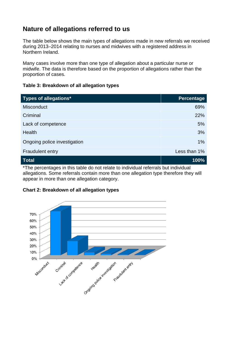# **Nature of allegations referred to us**

The table below shows the main types of allegations made in new referrals we received during 2013–2014 relating to nurses and midwives with a registered address in Northern Ireland.

Many cases involve more than one type of allegation about a particular nurse or midwife. The data is therefore based on the proportion of allegations rather than the proportion of cases.

## **Table 3: Breakdown of all allegation types**

| Types of allegations*                                                                                          | <b>Percentage</b> |  |
|----------------------------------------------------------------------------------------------------------------|-------------------|--|
| <b>Misconduct</b>                                                                                              | 69%               |  |
| Criminal                                                                                                       | 22%               |  |
| Lack of competence                                                                                             | 5%                |  |
| Health                                                                                                         | 3%                |  |
| Ongoing police investigation                                                                                   | 1%                |  |
| <b>Fraudulent entry</b>                                                                                        | Less than 1%      |  |
| <b>Total</b>                                                                                                   | 100%              |  |
| المرزامة والمعرا بالمراجع والمستملون والمرزامات والمساحي والمستلم والمستطرح والملاحس والمستقصص والمستحمر والتخ |                   |  |

The percentages in this table do not relate to individual referrals but individual allegations. Some referrals contain more than one allegation type therefore they will appear in more than one allegation category.

## **Chart 2: Breakdown of all allegation types**

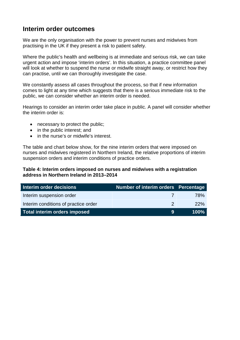## **Interim order outcomes**

We are the only organisation with the power to prevent nurses and midwives from practising in the UK if they present a risk to patient safety.

Where the public's health and wellbeing is at immediate and serious risk, we can take urgent action and impose 'interim orders'. In this situation, a practice committee panel will look at whether to suspend the nurse or midwife straight away, or restrict how they can practise, until we can thoroughly investigate the case.

We constantly assess all cases throughout the process, so that if new information comes to light at any time which suggests that there is a serious immediate risk to the public, we can consider whether an interim order is needed.

Hearings to consider an interim order take place in public. A panel will consider whether the interim order is:

- necessary to protect the public;
- in the public interest; and
- in the nurse's or midwife's interest.

The table and chart below show, for the nine interim orders that were imposed on nurses and midwives registered in Northern Ireland, the relative proportions of interim suspension orders and interim conditions of practice orders.

## **Table 4: Interim orders imposed on nurses and midwives with a registration address in Northern Ireland in 2013–2014**

| Interim order decisions              | Number of interim orders Percentage |      |
|--------------------------------------|-------------------------------------|------|
| Interim suspension order             | $\sqrt{ }$                          | 78%  |
| Interim conditions of practice order |                                     | 22%  |
| Total interim orders imposed         | 9                                   | 100% |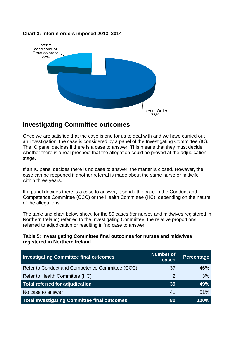## **Chart 3: Interim orders imposed 2013–2014**



## **Investigating Committee outcomes**

Once we are satisfied that the case is one for us to deal with and we have carried out an investigation, the case is considered by a panel of the Investigating Committee (IC). The IC panel decides if there is a case to answer. This means that they must decide whether there is a real prospect that the allegation could be proved at the adjudication stage.

If an IC panel decides there is no case to answer, the matter is closed. However, the case can be reopened if another referral is made about the same nurse or midwife within three years.

If a panel decides there is a case to answer, it sends the case to the Conduct and Competence Committee (CCC) or the Health Committee (HC), depending on the nature of the allegations.

The table and chart below show, for the 80 cases (for nurses and midwives registered in Northern Ireland) referred to the Investigating Committee, the relative proportions referred to adjudication or resulting in 'no case to answer'.

#### **Table 5: Investigating Committee final outcomes for nurses and midwives registered in Northern Ireland**

| <b>Investigating Committee final outcomes</b>       | <b>Number of</b><br>cases | Percentage |
|-----------------------------------------------------|---------------------------|------------|
| Refer to Conduct and Competence Committee (CCC)     | 37                        | 46%        |
| Refer to Health Committee (HC)                      | $\mathcal{P}$             | 3%         |
| <b>Total referred for adjudication</b>              | 39                        | 49%        |
| No case to answer                                   | 41                        | 51%        |
| <b>Total Investigating Committee final outcomes</b> | 80                        | 100%       |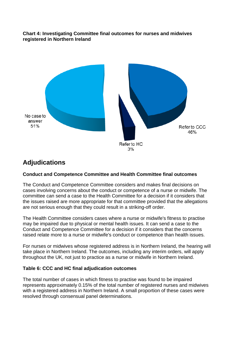## **Chart 4: Investigating Committee final outcomes for nurses and midwives registered in Northern Ireland**



## **Adjudications**

## **Conduct and Competence Committee and Health Committee final outcomes**

The Conduct and Competence Committee considers and makes final decisions on cases involving concerns about the conduct or competence of a nurse or midwife. The committee can send a case to the Health Committee for a decision if it considers that the issues raised are more appropriate for that committee provided that the allegations are not serious enough that they could result in a striking-off order.

The Health Committee considers cases where a nurse or midwife's fitness to practise may be impaired due to physical or mental health issues. It can send a case to the Conduct and Competence Committee for a decision if it considers that the concerns raised relate more to a nurse or midwife's conduct or competence than health issues.

For nurses or midwives whose registered address is in Northern Ireland, the hearing will take place in Northern Ireland. The outcomes, including any interim orders, will apply throughout the UK, not just to practice as a nurse or midwife in Northern Ireland.

## **Table 6: CCC and HC final adjudication outcomes**

The total number of cases in which fitness to practise was found to be impaired represents approximately 0.15% of the total number of registered nurses and midwives with a registered address in Northern Ireland. A small proportion of these cases were resolved through consensual panel determinations.